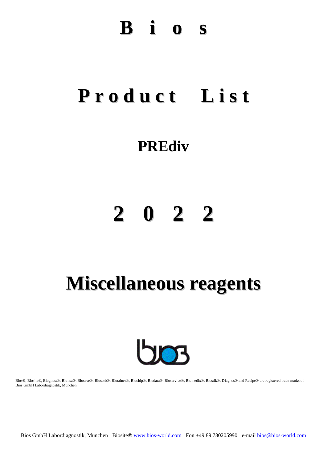### **B i o s**

## **P r o d u c t L i s t**

### **PREdiv**

# **2 0 2 2**

## **Miscellaneous reagents**



Bios®, Biosite®, Biognost®, Biolisa®, Biosave®, Biosorb®, Biotainer®, Biochip®, Biodata®, Bioservice®, Biomedix®, Biostik®, Diagnos® and Recipe® are registered trade marks of Bios GmbH Labordiagnostik, München

Bios GmbH Labordiagnostik, München Biosite® [www.bios-world.com](http://www.bios-world.com/) Fon +49 89 780205990 e-mail [bios@bios-world.com](mailto:info@bios-world.com)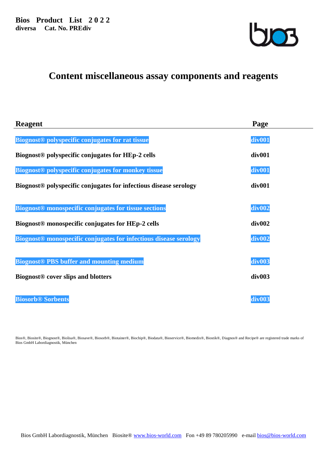

### **Content miscellaneous assay components and reagents**

| <b>Reagent</b>                                                                | Page               |
|-------------------------------------------------------------------------------|--------------------|
| Biognost <sup>®</sup> polyspecific conjugates for rat tissue                  | div <sub>001</sub> |
| Biognost <sup>®</sup> polyspecific conjugates for HEp-2 cells                 | div <sub>001</sub> |
| Biognost <sup>®</sup> polyspecific conjugates for monkey tissue               | div <sub>001</sub> |
| Biognost <sup>®</sup> polyspecific conjugates for infectious disease serology | div <sub>001</sub> |
| Biognost <sup>®</sup> monospecific conjugates for tissue sections             | div <sub>002</sub> |
| Biognost <sup>®</sup> monospecific conjugates for HEp-2 cells                 | div002             |
| Biognost <sup>®</sup> monospecific conjugates for infectious disease serology | div <sub>002</sub> |
| <b>Biognost® PBS buffer and mounting medium</b>                               | div <sub>003</sub> |
| <b>Biognost®</b> cover slips and blotters                                     | div003             |
| <b>Biosorb<sup>®</sup></b> Sorbents                                           | div <sub>003</sub> |

Bios®, Biosite®, Biognost®, Biolisa®, Biosave®, Biosorb®, Biotainer®, Biochip®, Biodata®, Bioservice®, Biomedix®, Biostik®, Diagnos® and Recipe® are registered trade marks of Bios GmbH Labordiagnostik, München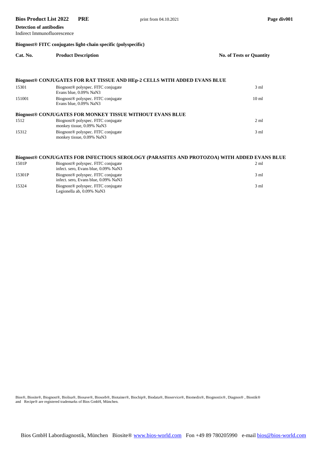#### **Bios Product List 2022** PRE print from 04.10.2021 Page div001

#### **Detection of antibodies**

Indirect Immunofluorescence

#### **Biognost® FITC conjugates light-chain specific (polyspecific)**

| Cat. No. | <b>Product Description</b>                                                       | <b>No. of Tests or Quantity</b> |
|----------|----------------------------------------------------------------------------------|---------------------------------|
|          |                                                                                  |                                 |
|          | <b>Biognost® CONJUGATES FOR RAT TISSUE AND HEp-2 CELLS WITH ADDED EVANS BLUE</b> |                                 |
| 15301    | Biognost <sup>®</sup> polyspec. FITC conjugate<br>Evans blue, 0.09% NaN3         | 3 <sub>ml</sub>                 |
| 151001   | Biognost <sup>®</sup> polyspec. FITC conjugate<br>Evans blue, 0.09% NaN3         | 10 <sub>m1</sub>                |
|          | <b>Biognost® CONJUGATES FOR MONKEY TISSUE WITHOUT EVANS BLUE</b>                 |                                 |
| 1512     | Biognost <sup>®</sup> polyspec. FITC conjugate<br>monkey tissue, 0.09% NaN3      | $2 \text{ ml}$                  |
| 15312    | Biognost <sup>®</sup> polyspec. FITC conjugate<br>monkey tissue, 0.09% NaN3      | $3 \text{ ml}$                  |

#### **Biognost® CONJUGATES FOR INFECTIOUS SEROLOGY (PARASITES AND PROTOZOA) WITH ADDED EVANS BLUE**

| 1501P  | Biognost <sup>®</sup> polyspec. FITC conjugate<br>infect. sero, Evans blue, 0.09% NaN3 | $2 \text{ ml}$ |
|--------|----------------------------------------------------------------------------------------|----------------|
| 15301P | Biognost <sup>®</sup> polyspec. FITC conjugate<br>infect. sero, Evans blue, 0.09% NaN3 | $3 \text{ ml}$ |
| 15324  | Biognost <sup>®</sup> polyspec. FITC conjugate<br>Legionella ab, 0.09% NaN3            | $3 \text{ ml}$ |

Bios®, Biosite®, Biognost®, Biolisa®, Biosave®, Biosorb®, Biotainer®, Biochip®, Biodata®, Bioservice®, Biomedix®, Biognostix®, Diagnos® , Biostik® and Recipe® are registered trademarks of Bios GmbH, München.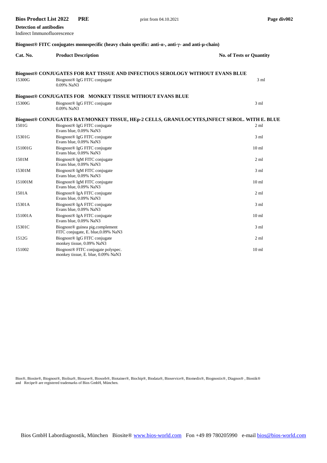| <b>Detection of antibodies</b>                                                                                                       |                                                                                              |                                 |  |  |  |
|--------------------------------------------------------------------------------------------------------------------------------------|----------------------------------------------------------------------------------------------|---------------------------------|--|--|--|
|                                                                                                                                      | Indirect Immunofluorescence                                                                  |                                 |  |  |  |
| Biognost <sup>®</sup> FITC conjugates monospecific (heavy chain specific: anti- $\alpha$ -, anti- $\gamma$ - and anti- $\mu$ -chain) |                                                                                              |                                 |  |  |  |
| Cat. No.                                                                                                                             | <b>Product Description</b>                                                                   | <b>No. of Tests or Quantity</b> |  |  |  |
| Biognost® CONJUGATES FOR RAT TISSUE AND INFECTIOUS SEROLOGY WITHOUT EVANS BLUE                                                       |                                                                                              |                                 |  |  |  |
| 15300G                                                                                                                               | Biognost <sup>®</sup> IgG FITC conjugate<br>0.09% NaN3                                       | $3 \text{ ml}$                  |  |  |  |
|                                                                                                                                      | <b>Biognost® CONJUGATES FOR MONKEY TISSUE WITHOUT EVANS BLUE</b>                             |                                 |  |  |  |
| 15300G                                                                                                                               | Biognost <sup>®</sup> IgG FITC conjugate<br>0.09% NaN3                                       | 3 <sub>ml</sub>                 |  |  |  |
|                                                                                                                                      | Biognost® CONJUGATES RAT/MONKEY TISSUE, HEp-2 CELLS, GRANULOCYTES,INFECT SEROL. WITH E. BLUE |                                 |  |  |  |
| 1501G                                                                                                                                | Biognost <sup>®</sup> IgG FITC conjugate<br>Evans blue, 0.09% NaN3                           | 2 <sub>ml</sub>                 |  |  |  |
| 15301G                                                                                                                               | Biognost <sup>®</sup> IgG FITC conjugate<br>Evans blue, 0.09% NaN3                           | $3 \text{ ml}$                  |  |  |  |
| 151001G                                                                                                                              | Biognost <sup>®</sup> IgG FITC conjugate<br>Evans blue, 0.09% NaN3                           | 10 <sub>ml</sub>                |  |  |  |
| 1501M                                                                                                                                | Biognost <sup>®</sup> IgM FITC conjugate<br>Evans blue, 0.09% NaN3                           | 2 <sub>m1</sub>                 |  |  |  |
| 15301M                                                                                                                               | Biognost <sup>®</sup> IgM FITC conjugate<br>Evans blue, 0.09% NaN3                           | 3 <sub>ml</sub>                 |  |  |  |
| 151001M                                                                                                                              | Biognost® IgM FITC conjugate<br>Evans blue, 0.09% NaN3                                       | 10 <sub>ml</sub>                |  |  |  |
| 1501A                                                                                                                                | Biognost <sup>®</sup> IgA FITC conjugate<br>Evans blue, 0.09% NaN3                           | $2 \text{ ml}$                  |  |  |  |
| 15301A                                                                                                                               | Biognost <sup>®</sup> IgA FITC conjugate<br>Evans blue, 0.09% NaN3                           | 3 <sub>ml</sub>                 |  |  |  |
| 151001A                                                                                                                              | Biognost <sup>®</sup> IgA FITC conjugate<br>Evans blue, 0.09% NaN3                           | 10 <sub>ml</sub>                |  |  |  |
| 15301C                                                                                                                               | Biognost <sup>®</sup> guinea pig.complement<br>FITC conjugate, E. blue, 0.09% NaN3           | $3 \text{ ml}$                  |  |  |  |
| 1512G                                                                                                                                | Biognost <sup>®</sup> IgG FITC conjugate<br>monkey tissue, 0.09% NaN3                        | 2 <sub>m1</sub>                 |  |  |  |
| 151002                                                                                                                               | Biognost <sup>®</sup> FITC conjugate polyspec.<br>monkey tissue, E. blue, 0.09% NaN3         | 10 <sub>ml</sub>                |  |  |  |

**Bios Product List 2022** PRE print from 04.10.2021 Page div002

Bios®, Biosite®, Biognost®, Biolisa®, Biosave®, Biosorb®, Biotainer®, Biochip®, Biodata®, Bioservice®, Biomedix®, Biognostix®, Diagnos® , Biostik® and Recipe® are registered trademarks of Bios GmbH, München.